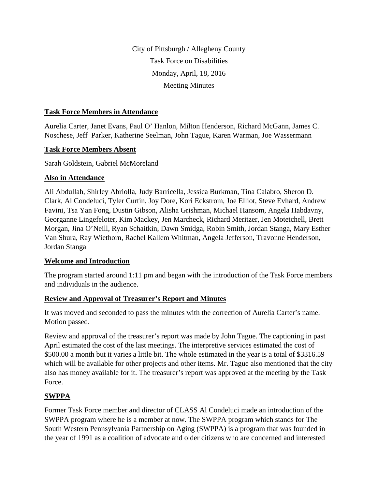City of Pittsburgh / Allegheny County Task Force on Disabilities Monday, April, 18, 2016 Meeting Minutes

#### **Task Force Members in Attendance**

Aurelia Carter, Janet Evans, Paul O' Hanlon, Milton Henderson, Richard McGann, James C. Noschese, Jeff Parker, Katherine Seelman, John Tague, Karen Warman, Joe Wassermann

#### **Task Force Members Absent**

Sarah Goldstein, Gabriel McMoreland

#### **Also in Attendance**

Ali Abdullah, Shirley Abriolla, Judy Barricella, Jessica Burkman, Tina Calabro, Sheron D. Clark, Al Condeluci, Tyler Curtin, Joy Dore, Kori Eckstrom, Joe Elliot, Steve Evhard, Andrew Favini, Tsa Yan Fong, Dustin Gibson, Alisha Grishman, Michael Hansom, Angela Habdavny, Georganne Lingefeloter, Kim Mackey, Jen Marcheck, Richard Meritzer, Jen Motetchell, Brett Morgan, Jina O'Neill, Ryan Schaitkin, Dawn Smidga, Robin Smith, Jordan Stanga, Mary Esther Van Shura, Ray Wiethorn, Rachel Kallem Whitman, Angela Jefferson, Travonne Henderson, Jordan Stanga

## **Welcome and Introduction**

The program started around 1:11 pm and began with the introduction of the Task Force members and individuals in the audience.

## **Review and Approval of Treasurer's Report and Minutes**

It was moved and seconded to pass the minutes with the correction of Aurelia Carter's name. Motion passed.

Review and approval of the treasurer's report was made by John Tague. The captioning in past April estimated the cost of the last meetings. The interpretive services estimated the cost of \$500.00 a month but it varies a little bit. The whole estimated in the year is a total of \$3316.59 which will be available for other projects and other items. Mr. Tague also mentioned that the city also has money available for it. The treasurer's report was approved at the meeting by the Task Force.

## **SWPPA**

Former Task Force member and director of CLASS Al Condeluci made an introduction of the SWPPA program where he is a member at now. The SWPPA program which stands for The South Western Pennsylvania Partnership on Aging (SWPPA) is a program that was founded in the year of 1991 as a coalition of advocate and older citizens who are concerned and interested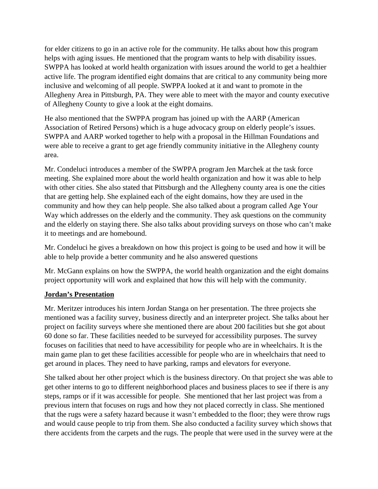for elder citizens to go in an active role for the community. He talks about how this program helps with aging issues. He mentioned that the program wants to help with disability issues. SWPPA has looked at world health organization with issues around the world to get a healthier active life. The program identified eight domains that are critical to any community being more inclusive and welcoming of all people. SWPPA looked at it and want to promote in the Allegheny Area in Pittsburgh, PA. They were able to meet with the mayor and county executive of Allegheny County to give a look at the eight domains.

He also mentioned that the SWPPA program has joined up with the AARP (American Association of Retired Persons) which is a huge advocacy group on elderly people's issues. SWPPA and AARP worked together to help with a proposal in the Hillman Foundations and were able to receive a grant to get age friendly community initiative in the Allegheny county area.

Mr. Condeluci introduces a member of the SWPPA program Jen Marchek at the task force meeting. She explained more about the world health organization and how it was able to help with other cities. She also stated that Pittsburgh and the Allegheny county area is one the cities that are getting help. She explained each of the eight domains, how they are used in the community and how they can help people. She also talked about a program called Age Your Way which addresses on the elderly and the community. They ask questions on the community and the elderly on staying there. She also talks about providing surveys on those who can't make it to meetings and are homebound.

Mr. Condeluci he gives a breakdown on how this project is going to be used and how it will be able to help provide a better community and he also answered questions

Mr. McGann explains on how the SWPPA, the world health organization and the eight domains project opportunity will work and explained that how this will help with the community.

## **Jordan's Presentation**

Mr. Meritzer introduces his intern Jordan Stanga on her presentation. The three projects she mentioned was a facility survey, business directly and an interpreter project. She talks about her project on facility surveys where she mentioned there are about 200 facilities but she got about 60 done so far. These facilities needed to be surveyed for accessibility purposes. The survey focuses on facilities that need to have accessibility for people who are in wheelchairs. It is the main game plan to get these facilities accessible for people who are in wheelchairs that need to get around in places. They need to have parking, ramps and elevators for everyone.

She talked about her other project which is the business directory. On that project she was able to get other interns to go to different neighborhood places and business places to see if there is any steps, ramps or if it was accessible for people. She mentioned that her last project was from a previous intern that focuses on rugs and how they not placed correctly in class. She mentioned that the rugs were a safety hazard because it wasn't embedded to the floor; they were throw rugs and would cause people to trip from them. She also conducted a facility survey which shows that there accidents from the carpets and the rugs. The people that were used in the survey were at the